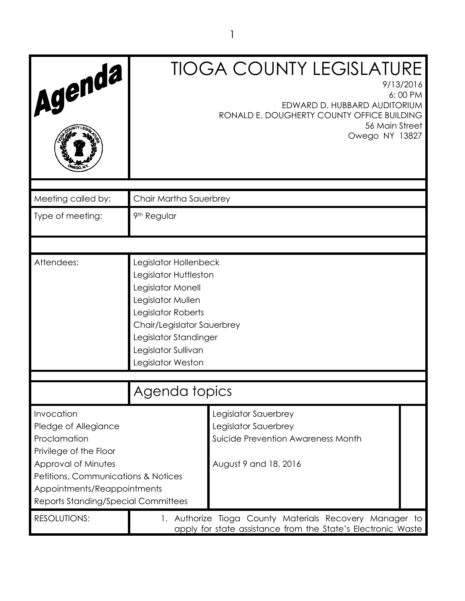| Agenda                                                                                                                                                                                                                  |                                                                                                                                                                                                                   | <b>TIOGA COUNTY LEGISLATURE</b><br>9/13/2016<br>6:00 PM<br>EDWARD D. HUBBARD AUDITORIUM<br>RONALD E. DOUGHERTY COUNTY OFFICE BUILDING<br>56 Main Street<br>Owego NY 13827 |  |
|-------------------------------------------------------------------------------------------------------------------------------------------------------------------------------------------------------------------------|-------------------------------------------------------------------------------------------------------------------------------------------------------------------------------------------------------------------|---------------------------------------------------------------------------------------------------------------------------------------------------------------------------|--|
| Meeting called by:                                                                                                                                                                                                      | Chair Martha Sauerbrey                                                                                                                                                                                            |                                                                                                                                                                           |  |
| Type of meeting:                                                                                                                                                                                                        | 9 <sup>th</sup> Regular                                                                                                                                                                                           |                                                                                                                                                                           |  |
|                                                                                                                                                                                                                         |                                                                                                                                                                                                                   |                                                                                                                                                                           |  |
| Attendees:                                                                                                                                                                                                              | Legislator Hollenbeck<br>Legislator Huttleston<br>Legislator Monell<br>Legislator Mullen<br>Legislator Roberts<br>Chair/Legislator Sauerbrey<br>Legislator Standinger<br>Legislator Sullivan<br>Legislator Weston |                                                                                                                                                                           |  |
|                                                                                                                                                                                                                         |                                                                                                                                                                                                                   |                                                                                                                                                                           |  |
|                                                                                                                                                                                                                         | Agenda topics                                                                                                                                                                                                     |                                                                                                                                                                           |  |
| Invocation<br>Pledge of Allegiance<br>Proclamation<br>Privilege of the Floor<br>Approval of Minutes<br>Petitions, Communications & Notices<br>Appointments/Reappointments<br><b>Reports Standing/Special Committees</b> |                                                                                                                                                                                                                   | Legislator Sauerbrey<br>Legislator Sauerbrey<br>Suicide Prevention Awareness Month<br>August 9 and 18, 2016                                                               |  |
| RESOLUTIONS:                                                                                                                                                                                                            |                                                                                                                                                                                                                   | 1. Authorize Tioga County Materials Recovery Manager to<br>apply for state assistance from the State's Electronic Waste                                                   |  |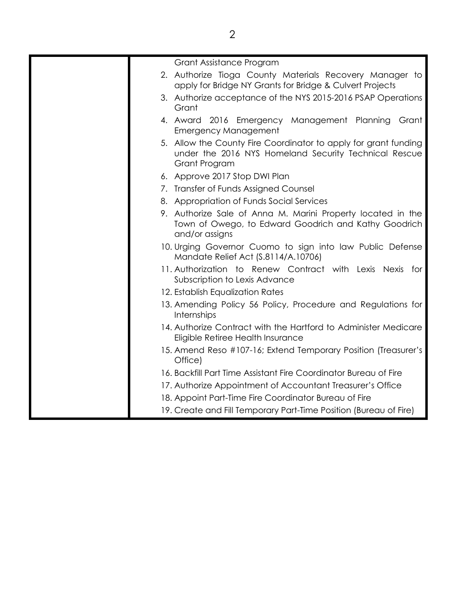| Grant Assistance Program                                                                                                                  |
|-------------------------------------------------------------------------------------------------------------------------------------------|
| 2. Authorize Tioga County Materials Recovery Manager to<br>apply for Bridge NY Grants for Bridge & Culvert Projects                       |
| 3. Authorize acceptance of the NYS 2015-2016 PSAP Operations<br>Grant                                                                     |
| 4. Award 2016 Emergency Management Planning<br>Grant<br><b>Emergency Management</b>                                                       |
| 5. Allow the County Fire Coordinator to apply for grant funding<br>under the 2016 NYS Homeland Security Technical Rescue<br>Grant Program |
| 6. Approve 2017 Stop DWI Plan                                                                                                             |
| 7. Transfer of Funds Assigned Counsel                                                                                                     |
| 8. Appropriation of Funds Social Services                                                                                                 |
| 9. Authorize Sale of Anna M. Marini Property located in the<br>Town of Owego, to Edward Goodrich and Kathy Goodrich<br>and/or assigns     |
| 10. Urging Governor Cuomo to sign into law Public Defense<br>Mandate Relief Act (S.8114/A.10706)                                          |
| 11. Authorization to Renew Contract with Lexis Nexis for<br>Subscription to Lexis Advance                                                 |
| 12. Establish Equalization Rates                                                                                                          |
| 13. Amending Policy 56 Policy, Procedure and Regulations for<br>Internships                                                               |
| 14. Authorize Contract with the Hartford to Administer Medicare<br>Eligible Retiree Health Insurance                                      |
| 15. Amend Reso #107-16; Extend Temporary Position (Treasurer's<br>Office)                                                                 |
| 16. Backfill Part Time Assistant Fire Coordinator Bureau of Fire                                                                          |
| 17. Authorize Appointment of Accountant Treasurer's Office                                                                                |
| 18. Appoint Part-Time Fire Coordinator Bureau of Fire                                                                                     |
| 19. Create and Fill Temporary Part-Time Position (Bureau of Fire)                                                                         |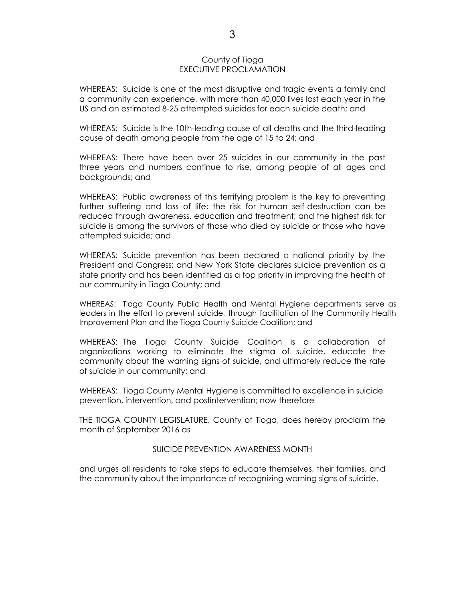#### County of Tioga EXECUTIVE PROCLAMATION

WHEREAS: Suicide is one of the most disruptive and tragic events a family and a community can experience, with more than 40,000 lives lost each year in the US and an estimated 8-25 attempted suicides for each suicide death; and

WHEREAS: Suicide is the 10th-leading cause of all deaths and the third-leading cause of death among people from the age of 15 to 24; and

WHEREAS: There have been over 25 suicides in our community in the past three years and numbers continue to rise, among people of all ages and backgrounds; and

WHEREAS: Public awareness of this terrifying problem is the key to preventing further suffering and loss of life; the risk for human self-destruction can be reduced through awareness, education and treatment; and the highest risk for suicide is among the survivors of those who died by suicide or those who have attempted suicide; and

WHEREAS: Suicide prevention has been declared a national priority by the President and Congress; and New York State declares suicide prevention as a state priority and has been identified as a top priority in improving the health of our community in Tioga County; and

WHEREAS: Tioga County Public Health and Mental Hygiene departments serve as leaders in the effort to prevent suicide, through facilitation of the Community Health Improvement Plan and the Tioga County Suicide Coalition; and

WHEREAS: The Tioga County Suicide Coalition is a collaboration of organizations working to eliminate the stigma of suicide, educate the community about the warning signs of suicide, and ultimately reduce the rate of suicide in our community; and

WHEREAS: Tioga County Mental Hygiene is committed to excellence in suicide prevention, intervention, and postintervention; now therefore

THE TIOGA COUNTY LEGISLATURE, County of Tioga, does hereby proclaim the month of September 2016 as

SUICIDE PREVENTION AWARENESS MONTH

and urges all residents to take steps to educate themselves, their families, and the community about the importance of recognizing warning signs of suicide.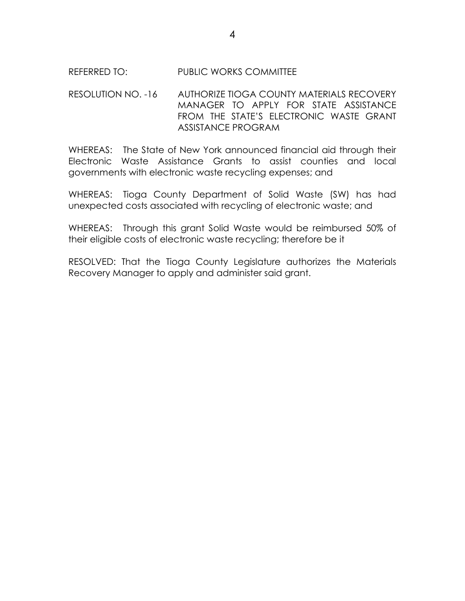# REFERRED TO: PUBLIC WORKS COMMITTEE

## RESOLUTION NO. -16 AUTHORIZE TIOGA COUNTY MATERIALS RECOVERY MANAGER TO APPLY FOR STATE ASSISTANCE FROM THE STATE'S ELECTRONIC WASTE GRANT ASSISTANCE PROGRAM

WHEREAS: The State of New York announced financial aid through their Electronic Waste Assistance Grants to assist counties and local governments with electronic waste recycling expenses; and

WHEREAS: Tioga County Department of Solid Waste (SW) has had unexpected costs associated with recycling of electronic waste; and

WHEREAS: Through this grant Solid Waste would be reimbursed 50% of their eligible costs of electronic waste recycling; therefore be it

RESOLVED: That the Tioga County Legislature authorizes the Materials Recovery Manager to apply and administer said grant.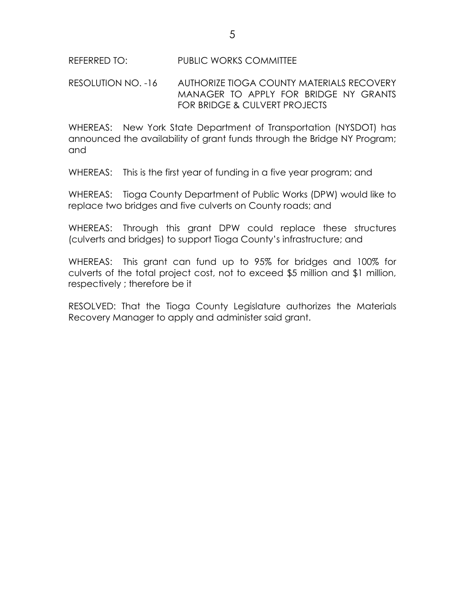RESOLUTION NO. -16 AUTHORIZE TIOGA COUNTY MATERIALS RECOVERY MANAGER TO APPLY FOR BRIDGE NY GRANTS FOR BRIDGE & CULVERT PROJECTS

WHEREAS: New York State Department of Transportation (NYSDOT) has announced the availability of grant funds through the Bridge NY Program; and

WHEREAS: This is the first year of funding in a five year program; and

WHEREAS: Tioga County Department of Public Works (DPW) would like to replace two bridges and five culverts on County roads; and

WHEREAS: Through this grant DPW could replace these structures (culverts and bridges) to support Tioga County's infrastructure; and

WHEREAS: This grant can fund up to 95% for bridges and 100% for culverts of the total project cost, not to exceed \$5 million and \$1 million, respectively ; therefore be it

RESOLVED: That the Tioga County Legislature authorizes the Materials Recovery Manager to apply and administer said grant.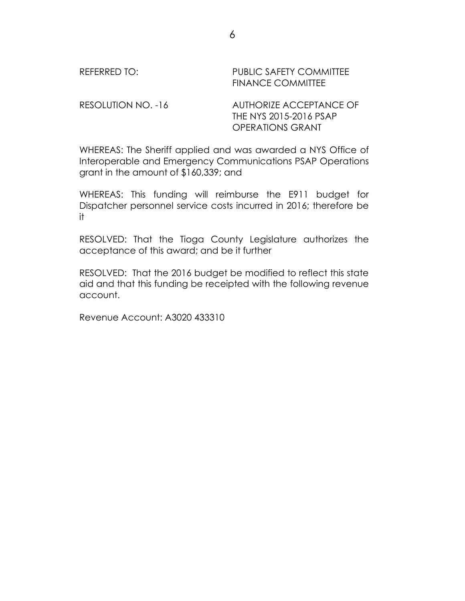| REFERRED TO:       | <b>PUBLIC SAFETY COMMITTEE</b><br><b>FINANCE COMMITTEE</b>                   |
|--------------------|------------------------------------------------------------------------------|
| RESOLUTION NO. -16 | AUTHORIZE ACCEPTANCE OF<br>THE NYS 2015-2016 PSAP<br><b>OPERATIONS GRANT</b> |

WHEREAS: The Sheriff applied and was awarded a NYS Office of Interoperable and Emergency Communications PSAP Operations grant in the amount of \$160,339; and

WHEREAS: This funding will reimburse the E911 budget for Dispatcher personnel service costs incurred in 2016; therefore be it

RESOLVED: That the Tioga County Legislature authorizes the acceptance of this award; and be it further

RESOLVED: That the 2016 budget be modified to reflect this state aid and that this funding be receipted with the following revenue account.

Revenue Account: A3020 433310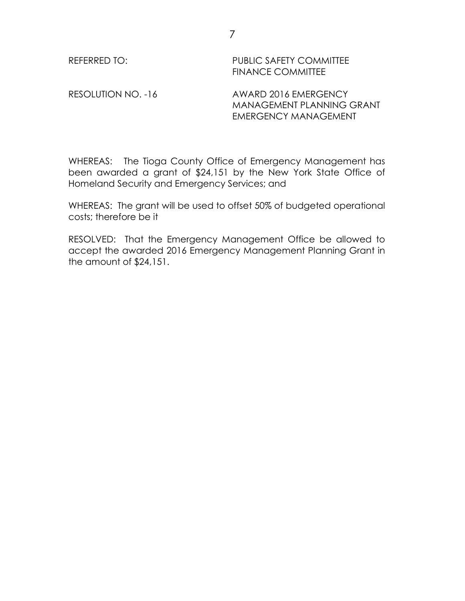REFERRED TO: PUBLIC SAFETY COMMITTEE FINANCE COMMITTEE

RESOLUTION NO. -16 AWARD 2016 EMERGENCY MANAGEMENT PLANNING GRANT EMERGENCY MANAGEMENT

WHEREAS: The Tioga County Office of Emergency Management has been awarded a grant of \$24,151 by the New York State Office of Homeland Security and Emergency Services; and

WHEREAS: The grant will be used to offset 50% of budgeted operational costs; therefore be it

RESOLVED: That the Emergency Management Office be allowed to accept the awarded 2016 Emergency Management Planning Grant in the amount of \$24,151.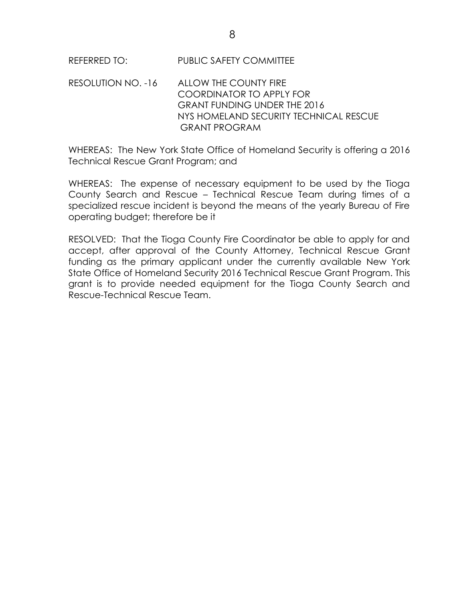| REFERRED TO: | PUBLIC SAFETY COMMITTEE |  |
|--------------|-------------------------|--|
|              |                         |  |

RESOLUTION NO. -16 ALLOW THE COUNTY FIRE COORDINATOR TO APPLY FOR GRANT FUNDING UNDER THE 2016 NYS HOMELAND SECURITY TECHNICAL RESCUE GRANT PROGRAM

WHEREAS: The New York State Office of Homeland Security is offering a 2016 Technical Rescue Grant Program; and

WHEREAS: The expense of necessary equipment to be used by the Tioga County Search and Rescue – Technical Rescue Team during times of a specialized rescue incident is beyond the means of the yearly Bureau of Fire operating budget; therefore be it

RESOLVED: That the Tioga County Fire Coordinator be able to apply for and accept, after approval of the County Attorney, Technical Rescue Grant funding as the primary applicant under the currently available New York State Office of Homeland Security 2016 Technical Rescue Grant Program. This grant is to provide needed equipment for the Tioga County Search and Rescue-Technical Rescue Team.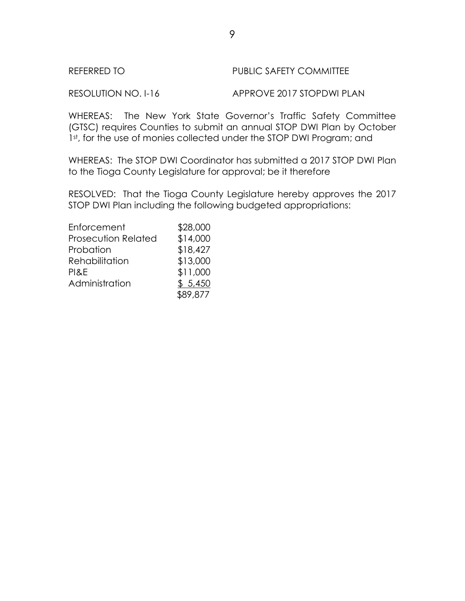RESOLUTION NO. I-16 APPROVE 2017 STOPDWI PLAN

WHEREAS: The New York State Governor's Traffic Safety Committee (GTSC) requires Counties to submit an annual STOP DWI Plan by October 1st, for the use of monies collected under the STOP DWI Program; and

WHEREAS: The STOP DWI Coordinator has submitted a 2017 STOP DWI Plan to the Tioga County Legislature for approval; be it therefore

RESOLVED: That the Tioga County Legislature hereby approves the 2017 STOP DWI Plan including the following budgeted appropriations:

| Enforcement                | \$28,000 |
|----------------------------|----------|
| <b>Prosecution Related</b> | \$14,000 |
| Probation                  | \$18,427 |
| Rehabilitation             | \$13,000 |
| PI&E                       | \$11,000 |
| Administration             | \$5,450  |
|                            | \$89,877 |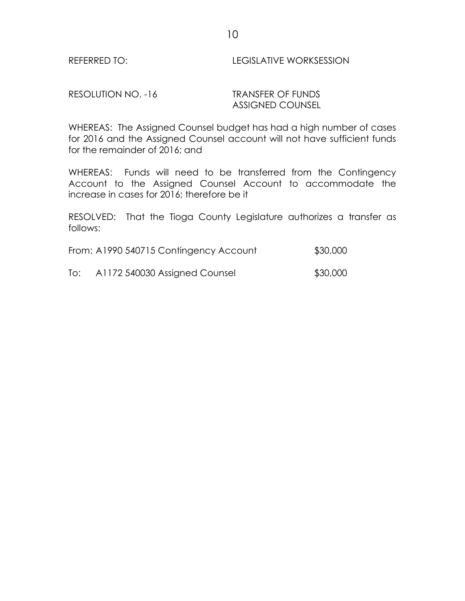### REFERRED TO: LEGISLATIVE WORKSESSION

RESOLUTION NO. -16 TRANSFER OF FUNDS

ASSIGNED COUNSEL

WHEREAS: The Assigned Counsel budget has had a high number of cases for 2016 and the Assigned Counsel account will not have sufficient funds for the remainder of 2016; and

WHEREAS: Funds will need to be transferred from the Contingency Account to the Assigned Counsel Account to accommodate the increase in cases for 2016; therefore be it

RESOLVED: That the Tioga County Legislature authorizes a transfer as follows:

| From: A1990 540715 Contingency Account | \$30,000 |
|----------------------------------------|----------|
|----------------------------------------|----------|

To: A1172 540030 Assigned Counsel \$30,000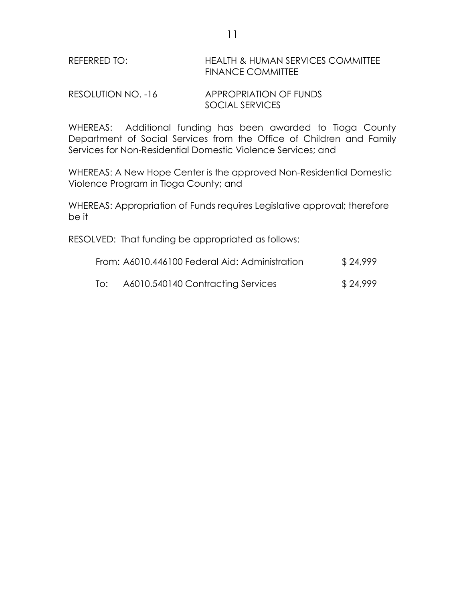# REFERRED TO: HEALTH & HUMAN SERVICES COMMITTEE FINANCE COMMITTEE

| RESOLUTION NO. -16 | <b>APPROPRIATION OF FUNDS</b> |
|--------------------|-------------------------------|
|                    | SOCIAL SERVICES               |

WHEREAS: Additional funding has been awarded to Tioga County Department of Social Services from the Office of Children and Family Services for Non-Residential Domestic Violence Services; and

WHEREAS: A New Hope Center is the approved Non-Residential Domestic Violence Program in Tioga County; and

WHEREAS: Appropriation of Funds requires Legislative approval; therefore be it

RESOLVED: That funding be appropriated as follows:

| From: A6010.446100 Federal Aid: Administration |                                                                                    | \$24,999 |
|------------------------------------------------|------------------------------------------------------------------------------------|----------|
|                                                | $\lambda$ /010 $\Gamma$ /01 /0 $\Omega$ . It is in the $\Omega$ . It is in the set | 0.000    |

To: A6010.540140 Contracting Services \$24,999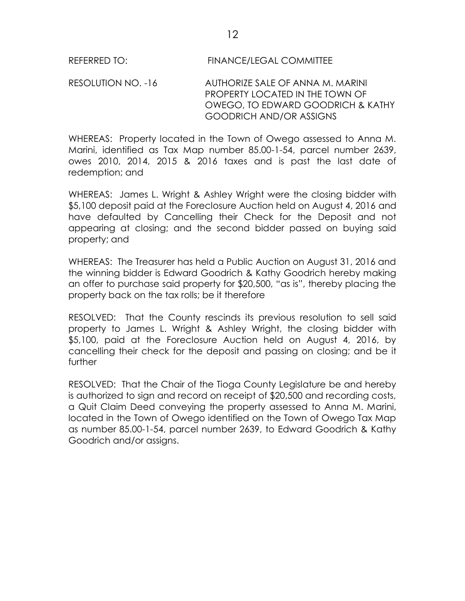RESOLUTION NO. -16 AUTHORIZE SALE OF ANNA M. MARINI PROPERTY LOCATED IN THE TOWN OF OWEGO, TO EDWARD GOODRICH & KATHY GOODRICH AND/OR ASSIGNS

WHEREAS: Property located in the Town of Owego assessed to Anna M. Marini, identified as Tax Map number 85.00-1-54, parcel number 2639, owes 2010, 2014, 2015 & 2016 taxes and is past the last date of redemption; and

WHEREAS: James L. Wright & Ashley Wright were the closing bidder with \$5,100 deposit paid at the Foreclosure Auction held on August 4, 2016 and have defaulted by Cancelling their Check for the Deposit and not appearing at closing; and the second bidder passed on buying said property; and

WHEREAS: The Treasurer has held a Public Auction on August 31, 2016 and the winning bidder is Edward Goodrich & Kathy Goodrich hereby making an offer to purchase said property for \$20,500, "as is", thereby placing the property back on the tax rolls; be it therefore

RESOLVED: That the County rescinds its previous resolution to sell said property to James L. Wright & Ashley Wright, the closing bidder with \$5,100, paid at the Foreclosure Auction held on August 4, 2016, by cancelling their check for the deposit and passing on closing; and be it further

RESOLVED: That the Chair of the Tioga County Legislature be and hereby is authorized to sign and record on receipt of \$20,500 and recording costs, a Quit Claim Deed conveying the property assessed to Anna M. Marini, located in the Town of Owego identified on the Town of Owego Tax Map as number 85.00-1-54, parcel number 2639, to Edward Goodrich & Kathy Goodrich and/or assigns.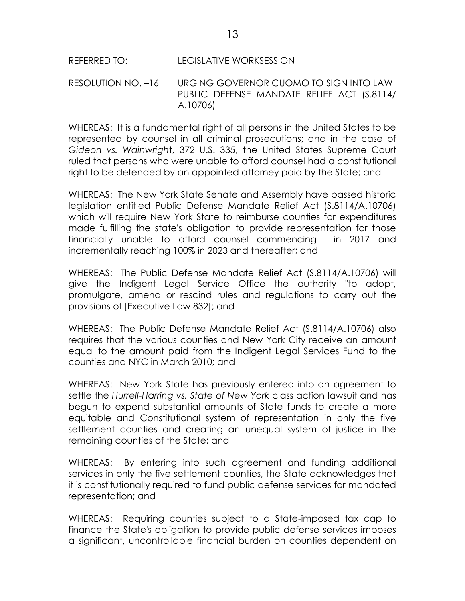## REFERRED TO: LEGISLATIVE WORKSESSION

RESOLUTION NO. –16 URGING GOVERNOR CUOMO TO SIGN INTO LAW PUBLIC DEFENSE MANDATE RELIEF ACT (S.8114/ A.10706)

WHEREAS: It is a fundamental right of all persons in the United States to be represented by counsel in all criminal prosecutions; and in the case of *Gideon vs. Wainwrigh*t, 372 U.S. 335, the United States Supreme Court ruled that persons who were unable to afford counsel had a constitutional right to be defended by an appointed attorney paid by the State; and

WHEREAS: The New York State Senate and Assembly have passed historic legislation entitled Public Defense Mandate Relief Act (S.8114/A.10706) which will require New York State to reimburse counties for expenditures made fulfilling the state's obligation to provide representation for those financially unable to afford counsel commencing in 2017 and incrementally reaching 100% in 2023 and thereafter; and

WHEREAS: The Public Defense Mandate Relief Act (S.8114/A.10706) will give the Indigent Legal Service Office the authority "to adopt, promulgate, amend or rescind rules and regulations to carry out the provisions of [Executive Law 832]; and

WHEREAS: The Public Defense Mandate Relief Act (S.8114/A.10706) also requires that the various counties and New York City receive an amount equal to the amount paid from the Indigent Legal Services Fund to the counties and NYC in March 2010; and

WHEREAS: New York State has previously entered into an agreement to settle the *Hurrell-Harring vs. State of New York* class action lawsuit and has begun to expend substantial amounts of State funds to create a more equitable and Constitutional system of representation in only the five settlement counties and creating an unequal system of justice in the remaining counties of the State; and

WHEREAS: By entering into such agreement and funding additional services in only the five settlement counties, the State acknowledges that it is constitutionally required to fund public defense services for mandated representation; and

WHEREAS: Requiring counties subject to a State-imposed tax cap to finance the State's obligation to provide public defense services imposes a significant, uncontrollable financial burden on counties dependent on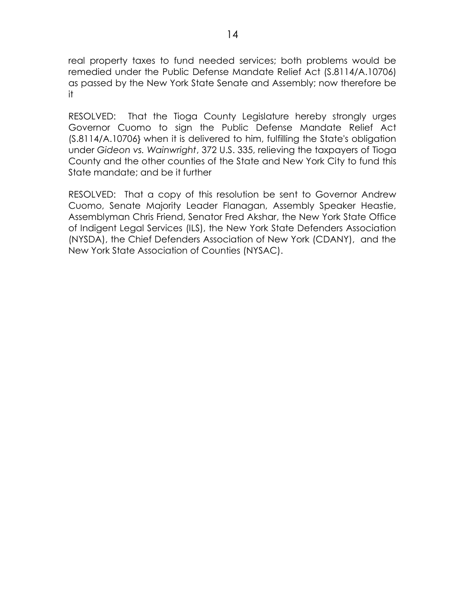real property taxes to fund needed services; both problems would be remedied under the Public Defense Mandate Relief Act (S.8114/A.10706) as passed by the New York State Senate and Assembly; now therefore be it

RESOLVED: That the Tioga County Legislature hereby strongly urges Governor Cuomo to sign the Public Defense Mandate Relief Act (S.8114/A.10706} when it is delivered to him, fulfilling the State's obligation under *Gideon vs. Wainwright*, 372 U.S. 335, relieving the taxpayers of Tioga County and the other counties of the State and New York City to fund this State mandate; and be it further

RESOLVED: That a copy of this resolution be sent to Governor Andrew Cuomo, Senate Majority Leader Flanagan, Assembly Speaker Heastie, Assemblyman Chris Friend, Senator Fred Akshar, the New York State Office of Indigent Legal Services (ILS), the New York State Defenders Association (NYSDA), the Chief Defenders Association of New York (CDANY), and the New York State Association of Counties (NYSAC).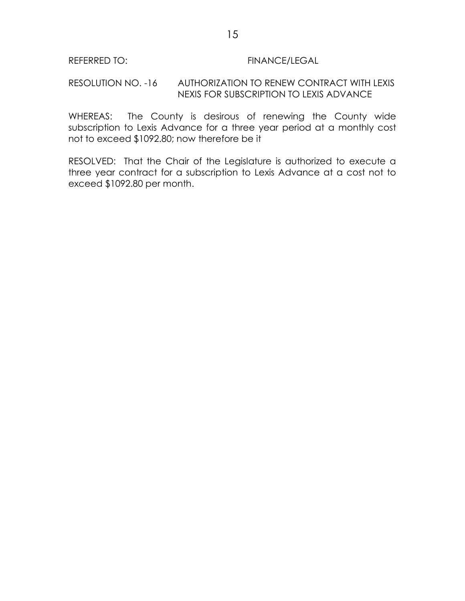#### REFERRED TO: FINANCE/LEGAL

#### RESOLUTION NO. -16 AUTHORIZATION TO RENEW CONTRACT WITH LEXIS NEXIS FOR SUBSCRIPTION TO LEXIS ADVANCE

WHEREAS: The County is desirous of renewing the County wide subscription to Lexis Advance for a three year period at a monthly cost not to exceed \$1092.80; now therefore be it

RESOLVED: That the Chair of the Legislature is authorized to execute a three year contract for a subscription to Lexis Advance at a cost not to exceed \$1092.80 per month.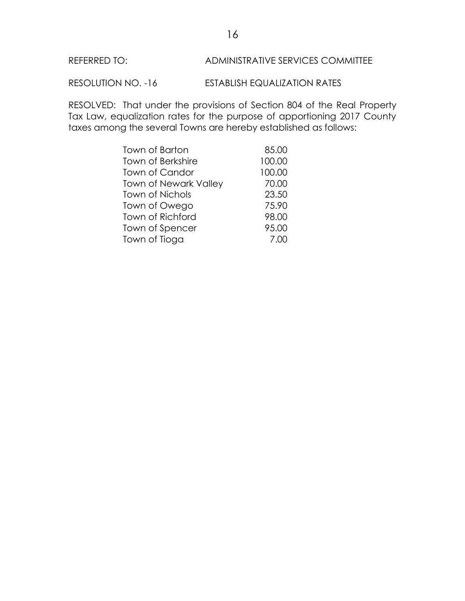#### REFERRED TO: ADMINISTRATIVE SERVICES COMMITTEE

RESOLUTION NO. -16 ESTABLISH EQUALIZATION RATES

RESOLVED: That under the provisions of Section 804 of the Real Property Tax Law, equalization rates for the purpose of apportioning 2017 County taxes among the several Towns are hereby established as follows:

| Town of Barton               | 85.00  |
|------------------------------|--------|
| Town of Berkshire            | 100.00 |
| Town of Candor               | 100.00 |
| <b>Town of Newark Valley</b> | 70.00  |
| Town of Nichols              | 23.50  |
| Town of Owego                | 75.90  |
| Town of Richford             | 98.00  |
| Town of Spencer              | 95.00  |
| Town of Tioga                | 7.00   |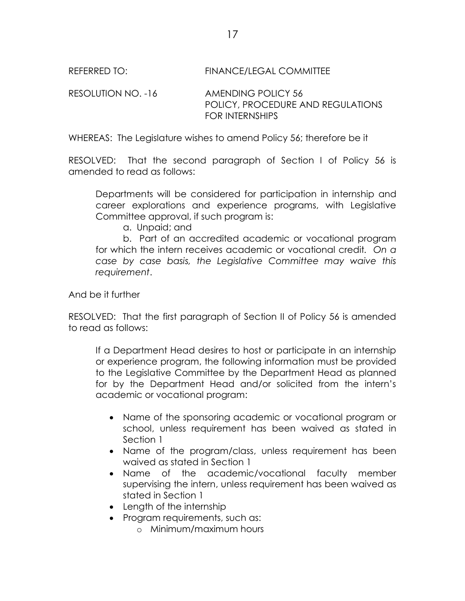REFERRED TO: FINANCE/LEGAL COMMITTEE

RESOLUTION NO. -16 AMENDING POLICY 56 POLICY, PROCEDURE AND REGULATIONS FOR INTERNSHIPS

WHEREAS: The Legislature wishes to amend Policy 56; therefore be it

RESOLVED: That the second paragraph of Section I of Policy 56 is amended to read as follows:

Departments will be considered for participation in internship and career explorations and experience programs, with Legislative Committee approval, if such program is:

a. Unpaid; and

b. Part of an accredited academic or vocational program for which the intern receives academic or vocational credit*. On a case by case basis, the Legislative Committee may waive this requirement*.

And be it further

RESOLVED: That the first paragraph of Section II of Policy 56 is amended to read as follows:

If a Department Head desires to host or participate in an internship or experience program, the following information must be provided to the Legislative Committee by the Department Head as planned for by the Department Head and/or solicited from the intern's academic or vocational program:

- Name of the sponsoring academic or vocational program or school, unless requirement has been waived as stated in Section 1
- Name of the program/class, unless requirement has been waived as stated in Section 1
- Name of the academic/vocational faculty member supervising the intern, unless requirement has been waived as stated in Section 1
- Length of the internship
- Program requirements, such as:
	- o Minimum/maximum hours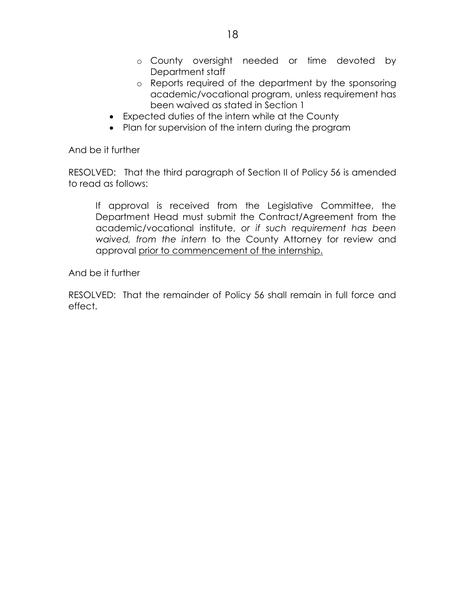- o County oversight needed or time devoted by Department staff
- o Reports required of the department by the sponsoring academic/vocational program, unless requirement has been waived as stated in Section 1
- Expected duties of the intern while at the County
- Plan for supervision of the intern during the program

And be it further

RESOLVED: That the third paragraph of Section II of Policy 56 is amended to read as follows:

If approval is received from the Legislative Committee, the Department Head must submit the Contract/Agreement from the academic/vocational institute, *or if such requirement has been waived, from the intern* to the County Attorney for review and approval prior to commencement of the internship.

And be it further

RESOLVED: That the remainder of Policy 56 shall remain in full force and effect.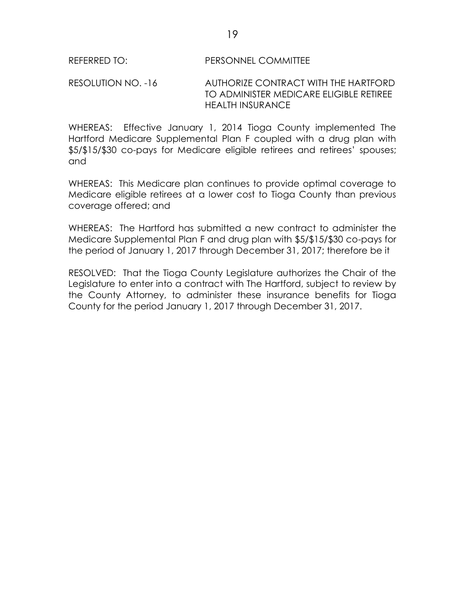RESOLUTION NO. -16 AUTHORIZE CONTRACT WITH THE HARTFORD TO ADMINISTER MEDICARE ELIGIBLE RETIREE HEALTH INSURANCE

WHEREAS: Effective January 1, 2014 Tioga County implemented The Hartford Medicare Supplemental Plan F coupled with a drug plan with \$5/\$15/\$30 co-pays for Medicare eligible retirees and retirees' spouses; and

WHEREAS: This Medicare plan continues to provide optimal coverage to Medicare eligible retirees at a lower cost to Tioga County than previous coverage offered; and

WHEREAS: The Hartford has submitted a new contract to administer the Medicare Supplemental Plan F and drug plan with \$5/\$15/\$30 co-pays for the period of January 1, 2017 through December 31, 2017; therefore be it

RESOLVED: That the Tioga County Legislature authorizes the Chair of the Legislature to enter into a contract with The Hartford, subject to review by the County Attorney, to administer these insurance benefits for Tioga County for the period January 1, 2017 through December 31, 2017.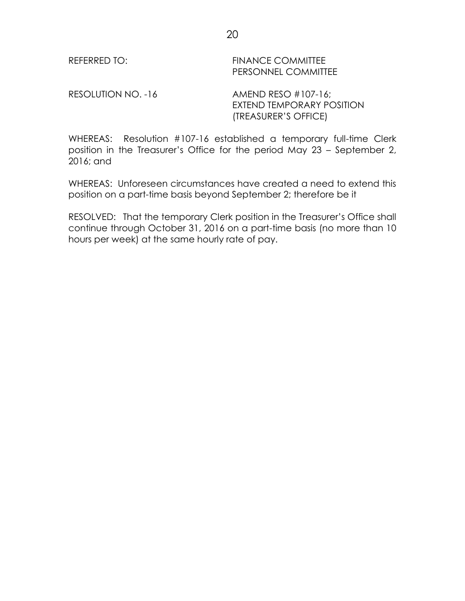REFERRED TO: FINANCE COMMITTEE PERSONNEL COMMITTEE

RESOLUTION NO. -16 AMEND RESO #107-16;

EXTEND TEMPORARY POSITION (TREASURER'S OFFICE)

WHEREAS: Resolution #107-16 established a temporary full-time Clerk position in the Treasurer's Office for the period May 23 – September 2, 2016; and

WHEREAS: Unforeseen circumstances have created a need to extend this position on a part-time basis beyond September 2; therefore be it

RESOLVED: That the temporary Clerk position in the Treasurer's Office shall continue through October 31, 2016 on a part-time basis (no more than 10 hours per week) at the same hourly rate of pay.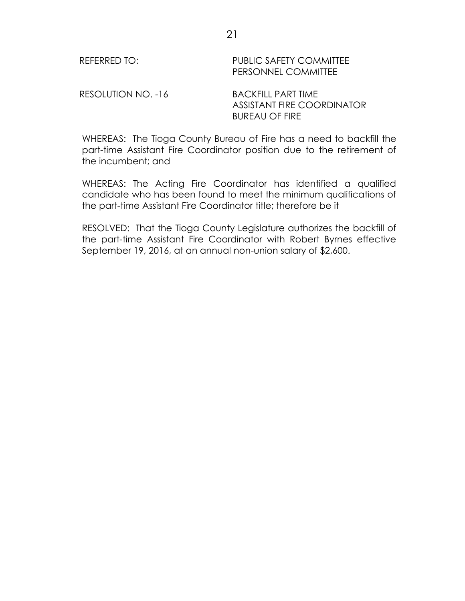REFERRED TO: PUBLIC SAFETY COMMITTEE PERSONNEL COMMITTEE

RESOLUTION NO. -16 BACKFILL PART TIME

ASSISTANT FIRE COORDINATOR BUREAU OF FIRE

WHEREAS: The Tioga County Bureau of Fire has a need to backfill the part-time Assistant Fire Coordinator position due to the retirement of the incumbent; and

WHEREAS: The Acting Fire Coordinator has identified a qualified candidate who has been found to meet the minimum qualifications of the part-time Assistant Fire Coordinator title; therefore be it

RESOLVED: That the Tioga County Legislature authorizes the backfill of the part-time Assistant Fire Coordinator with Robert Byrnes effective September 19, 2016, at an annual non-union salary of \$2,600.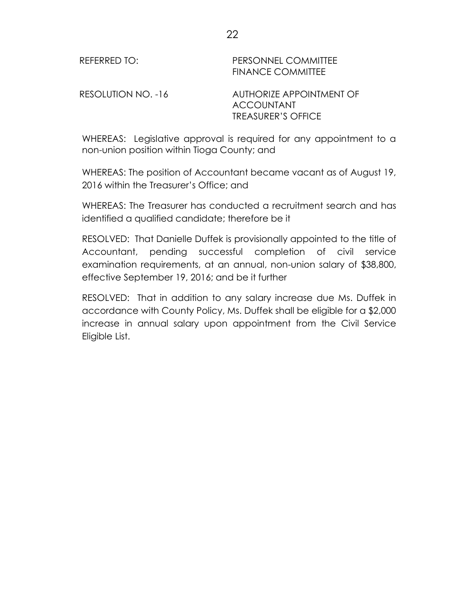REFERRED TO: PERSONNEL COMMITTEE FINANCE COMMITTEE

RESOLUTION NO. -16 AUTHORIZE APPOINTMENT OF ACCOUNTANT TREASURER'S OFFICE

WHEREAS: Legislative approval is required for any appointment to a non-union position within Tioga County; and

WHEREAS: The position of Accountant became vacant as of August 19, 2016 within the Treasurer's Office; and

WHEREAS: The Treasurer has conducted a recruitment search and has identified a qualified candidate; therefore be it

RESOLVED: That Danielle Duffek is provisionally appointed to the title of Accountant, pending successful completion of civil service examination requirements, at an annual, non-union salary of \$38,800, effective September 19, 2016; and be it further

RESOLVED: That in addition to any salary increase due Ms. Duffek in accordance with County Policy, Ms. Duffek shall be eligible for a \$2,000 increase in annual salary upon appointment from the Civil Service Eligible List.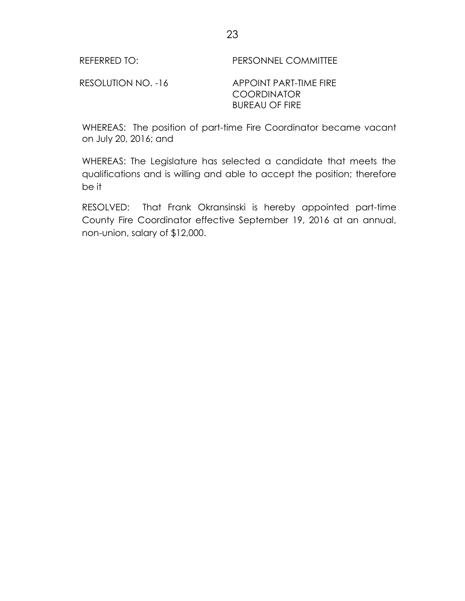RESOLUTION NO. -16 APPOINT PART-TIME FIRE COORDINATOR BUREAU OF FIRE

WHEREAS: The position of part-time Fire Coordinator became vacant on July 20, 2016; and

WHEREAS: The Legislature has selected a candidate that meets the qualifications and is willing and able to accept the position; therefore be it

RESOLVED: That Frank Okransinski is hereby appointed part-time County Fire Coordinator effective September 19, 2016 at an annual, non-union, salary of \$12,000.